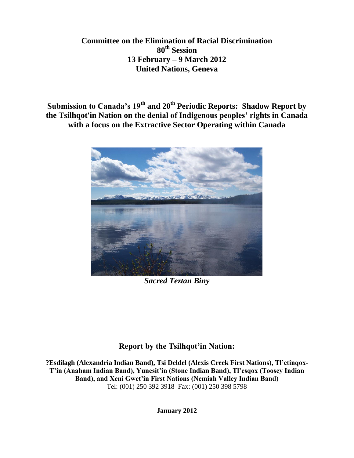# **Committee on the Elimination of Racial Discrimination 80th Session 13 February – 9 March 2012 United Nations, Geneva**

**Submission to Canada's 19th and 20th Periodic Reports: Shadow Report by the Tsilhqot'in Nation on the denial of Indigenous peoples' rights in Canada with a focus on the Extractive Sector Operating within Canada**



*Sacred Teztan Biny*

# **Report by the Tsilhqot'in Nation:**

**?Esdilagh (Alexandria Indian Band), Tsi Deldel (Alexis Creek First Nations), Tl'etinqox-T'in (Anaham Indian Band), Yunesit'in (Stone Indian Band), Tl'esqox (Toosey Indian Band), and Xeni Gwet'in First Nations (Nemiah Valley Indian Band)** Tel: (001) 250 392 3918 Fax: (001) 250 398 5798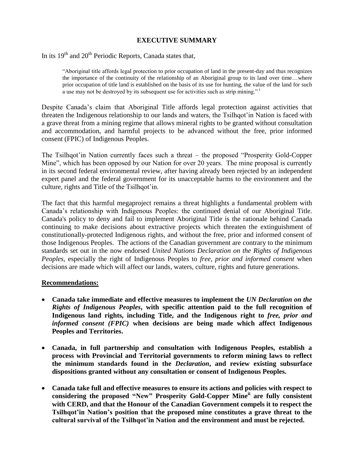# **EXECUTIVE SUMMARY**

In its  $19<sup>th</sup>$  and  $20<sup>th</sup>$  Periodic Reports, Canada states that,

"Aboriginal title affords legal protection to prior occupation of land in the present-day and thus recognizes the importance of the continuity of the relationship of an Aboriginal group to its land over time…where prior occupation of title land is established on the basis of its use for hunting, the value of the land for such a use may not be destroyed by its subsequent use for activities such as strip mining."<sup>1</sup>

Despite Canada's claim that Aboriginal Title affords legal protection against activities that threaten the Indigenous relationship to our lands and waters, the Tsilhqot'in Nation is faced with a grave threat from a mining regime that allows mineral rights to be granted without consultation and accommodation, and harmful projects to be advanced without the free, prior informed consent (FPIC) of Indigenous Peoples.

The Tsilhqot'in Nation currently faces such a threat – the proposed "Prosperity Gold-Copper Mine", which has been opposed by our Nation for over 20 years. The mine proposal is currently in its second federal environmental review, after having already been rejected by an independent expert panel and the federal government for its unacceptable harms to the environment and the culture, rights and Title of the Tsilhqot'in.

The fact that this harmful megaproject remains a threat highlights a fundamental problem with Canada's relationship with Indigenous Peoples: the continued denial of our Aboriginal Title. Canada's policy to deny and fail to implement Aboriginal Title is the rationale behind Canada continuing to make decisions about extractive projects which threaten the extinguishment of constitutionally-protected Indigenous rights, and without the free, prior and informed consent of those Indigenous Peoples. The actions of the Canadian government are contrary to the minimum standards set out in the now endorsed *United Nations Declaration on the Rights of Indigenous Peoples*, especially the right of Indigenous Peoples to *free, prior and informed consent* when decisions are made which will affect our lands, waters, culture, rights and future generations.

#### **Recommendations:**

- **Canada take immediate and effective measures to implement the** *UN Declaration on the Rights of Indigenous Peoples***, with specific attention paid to the full recognition of Indigenous land rights, including Title, and the Indigenous right to** *free, prior and informed consent (FPIC)* **when decisions are being made which affect Indigenous Peoples and Territories.**
- **Canada, in full partnership and consultation with Indigenous Peoples, establish a process with Provincial and Territorial governments to reform mining laws to reflect the minimum standards found in the** *Declaration***, and review existing subsurface dispositions granted without any consultation or consent of Indigenous Peoples.**
- **Canada take full and effective measures to ensure its actions and policies with respect to considering the proposed "New" Prosperity Gold-Copper Mineii are fully consistent with CERD, and that the Honour of the Canadian Government compels it to respect the Tsilhqot'in Nation's position that the proposed mine constitutes a grave threat to the cultural survival of the Tsilhqot'in Nation and the environment and must be rejected.**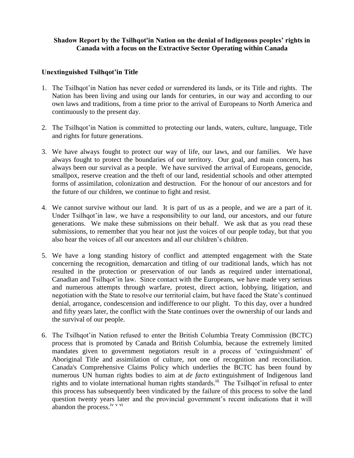## **Shadow Report by the Tsilhqot'in Nation on the denial of Indigenous peoples' rights in Canada with a focus on the Extractive Sector Operating within Canada**

### **Unextinguished Tsilhqot'in Title**

- 1. The Tsilhqot'in Nation has never ceded or surrendered its lands, or its Title and rights. The Nation has been living and using our lands for centuries, in our way and according to our own laws and traditions, from a time prior to the arrival of Europeans to North America and continuously to the present day.
- 2. The Tsilhqot'in Nation is committed to protecting our lands, waters, culture, language, Title and rights for future generations.
- 3. We have always fought to protect our way of life, our laws, and our families. We have always fought to protect the boundaries of our territory. Our goal, and main concern, has always been our survival as a people. We have survived the arrival of Europeans, genocide, smallpox, reserve creation and the theft of our land, residential schools and other attempted forms of assimilation, colonization and destruction. For the honour of our ancestors and for the future of our children, we continue to fight and resist.
- 4. We cannot survive without our land. It is part of us as a people, and we are a part of it. Under Tsilhqot'in law, we have a responsibility to our land, our ancestors, and our future generations. We make these submissions on their behalf. We ask that as you read these submissions, to remember that you hear not just the voices of our people today, but that you also hear the voices of all our ancestors and all our children's children.
- 5. We have a long standing history of conflict and attempted engagement with the State concerning the recognition, demarcation and titling of our traditional lands, which has not resulted in the protection or preservation of our lands as required under international, Canadian and Tsilhqot'in law. Since contact with the Europeans, we have made very serious and numerous attempts through warfare, protest, direct action, lobbying, litigation, and negotiation with the State to resolve our territorial claim, but have faced the State's continued denial, arrogance, condescension and indifference to our plight. To this day, over a hundred and fifty years later, the conflict with the State continues over the ownership of our lands and the survival of our people.
- 6. The Tsilhqot'in Nation refused to enter the British Columbia Treaty Commission (BCTC) process that is promoted by Canada and British Columbia, because the extremely limited mandates given to government negotiators result in a process of 'extinguishment' of Aboriginal Title and assimilation of culture, not one of recognition and reconciliation. Canada's Comprehensive Claims Policy which underlies the BCTC has been found by numerous UN human rights bodies to aim at *de facto* extinguishment of Indigenous land rights and to violate international human rights standards.<sup>iii</sup> The Tsilhqot'in refusal to enter this process has subsequently been vindicated by the failure of this process to solve the land question twenty years later and the provincial government's recent indications that it will abandon the process.<sup>iv v vi</sup>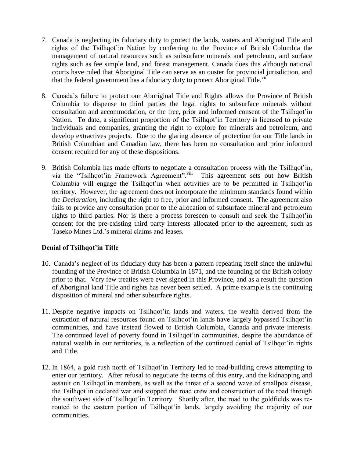- 7. Canada is neglecting its fiduciary duty to protect the lands, waters and Aboriginal Title and rights of the Tsilhqot'in Nation by conferring to the Province of British Columbia the management of natural resources such as subsurface minerals and petroleum, and surface rights such as fee simple land, and forest management. Canada does this although national courts have ruled that Aboriginal Title can serve as an ouster for provincial jurisdiction, and that the federal government has a fiduciary duty to protect Aboriginal Title.<sup>vii</sup>
- 8. Canada's failure to protect our Aboriginal Title and Rights allows the Province of British Columbia to dispense to third parties the legal rights to subsurface minerals without consultation and accommodation, or the free, prior and informed consent of the Tsilhqot'in Nation. To date, a significant proportion of the Tsilhqot'in Territory is licensed to private individuals and companies, granting the right to explore for minerals and petroleum, and develop extractives projects. Due to the glaring absence of protection for our Title lands in British Columbian and Canadian law, there has been no consultation and prior informed consent required for any of these dispositions.
- 9. British Columbia has made efforts to negotiate a consultation process with the Tsilhqot'in, via the "Tsilhqot'in Framework Agreement".<sup>viii</sup> This agreement sets out how British via the "Tsilhqot'in Framework Agreement".<sup>viii</sup> Columbia will engage the Tsilhqot'in when activities are to be permitted in Tsilhqot'in territory. However, the agreement does not incorporate the minimum standards found within the *Declaration*, including the right to free, prior and informed consent. The agreement also fails to provide any consultation prior to the allocation of subsurface mineral and petroleum rights to third parties. Nor is there a process foreseen to consult and seek the Tsilhqot'in consent for the pre-existing third party interests allocated prior to the agreement, such as Taseko Mines Ltd.'s mineral claims and leases.

# **Denial of Tsilhqot'in Title**

- 10. Canada's neglect of its fiduciary duty has been a pattern repeating itself since the unlawful founding of the Province of British Columbia in 1871, and the founding of the British colony prior to that. Very few treaties were ever signed in this Province, and as a result the question of Aboriginal land Title and rights has never been settled. A prime example is the continuing disposition of mineral and other subsurface rights.
- 11. Despite negative impacts on Tsilhqot'in lands and waters, the wealth derived from the extraction of natural resources found on Tsilhqot'in lands have largely bypassed Tsilhqot'in communities, and have instead flowed to British Columbia, Canada and private interests. The continued level of poverty found in Tsilhqot'in communities, despite the abundance of natural wealth in our territories, is a reflection of the continued denial of Tsilhqot'in rights and Title.
- 12. In 1864, a gold rush north of Tsilhqot'in Territory led to road-building crews attempting to enter our territory. After refusal to negotiate the terms of this entry, and the kidnapping and assault on Tsilhqot'in members, as well as the threat of a second wave of smallpox disease, the Tsilhqot'in declared war and stopped the road crew and construction of the road through the southwest side of Tsilhqot'in Territory. Shortly after, the road to the goldfields was rerouted to the eastern portion of Tsilhqot'in lands, largely avoiding the majority of our communities.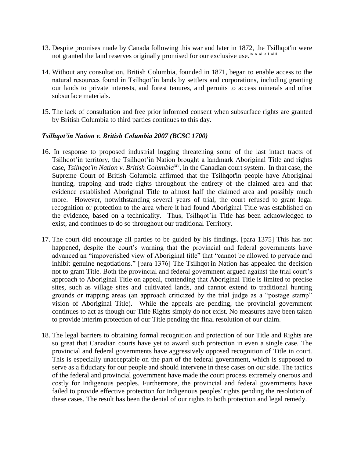- 13. Despite promises made by Canada following this war and later in 1872, the Tsilhqot'in were not granted the land reserves originally promised for our exclusive use.<sup>ix x xi</sup> xii xiii
- 14. Without any consultation, British Columbia, founded in 1871, began to enable access to the natural resources found in Tsilhqot'in lands by settlers and corporations, including granting our lands to private interests, and forest tenures, and permits to access minerals and other subsurface materials.
- 15. The lack of consultation and free prior informed consent when subsurface rights are granted by British Columbia to third parties continues to this day.

#### *Tsilhqot'in Nation v. British Columbia 2007 (BCSC 1700)*

- 16. In response to proposed industrial logging threatening some of the last intact tracts of Tsilhqot'in territory, the Tsilhqot'in Nation brought a landmark Aboriginal Title and rights case, *Tsilhqot'in Nation v. British Columbiaxiv* , in the Canadian court system. In that case, the Supreme Court of British Columbia affirmed that the Tsilhqot'in people have Aboriginal hunting, trapping and trade rights throughout the entirety of the claimed area and that evidence established Aboriginal Title to almost half the claimed area and possibly much more. However, notwithstanding several years of trial, the court refused to grant legal recognition or protection to the area where it had found Aboriginal Title was established on the evidence, based on a technicality. Thus, Tsilhqot'in Title has been acknowledged to exist, and continues to do so throughout our traditional Territory.
- 17. The court did encourage all parties to be guided by his findings. [para 1375] This has not happened, despite the court's warning that the provincial and federal governments have advanced an "impoverished view of Aboriginal title" that "cannot be allowed to pervade and inhibit genuine negotiations." [para 1376] The Tsilhqot'in Nation has appealed the decision not to grant Title. Both the provincial and federal government argued against the trial court's approach to Aboriginal Title on appeal, contending that Aboriginal Title is limited to precise sites, such as village sites and cultivated lands, and cannot extend to traditional hunting grounds or trapping areas (an approach criticized by the trial judge as a "postage stamp" vision of Aboriginal Title). While the appeals are pending, the provincial government continues to act as though our Title Rights simply do not exist. No measures have been taken to provide interim protection of our Title pending the final resolution of our claim.
- 18. The legal barriers to obtaining formal recognition and protection of our Title and Rights are so great that Canadian courts have yet to award such protection in even a single case. The provincial and federal governments have aggressively opposed recognition of Title in court. This is especially unacceptable on the part of the federal government, which is supposed to serve as a fiduciary for our people and should intervene in these cases on our side. The tactics of the federal and provincial government have made the court process extremely onerous and costly for Indigenous peoples. Furthermore, the provincial and federal governments have failed to provide effective protection for Indigenous peoples' rights pending the resolution of these cases. The result has been the denial of our rights to both protection and legal remedy.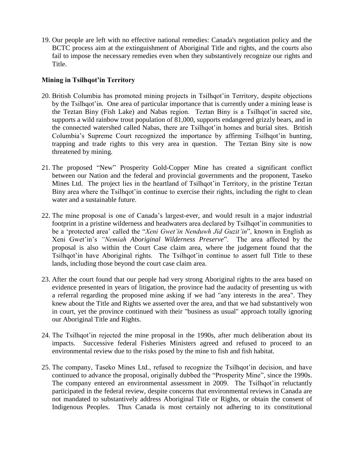19. Our people are left with no effective national remedies: Canada's negotiation policy and the BCTC process aim at the extinguishment of Aboriginal Title and rights, and the courts also fail to impose the necessary remedies even when they substantively recognize our rights and Title.

# **Mining in Tsilhqot'in Territory**

- 20. British Columbia has promoted mining projects in Tsilhqot'in Territory, despite objections by the Tsilhqot'in. One area of particular importance that is currently under a mining lease is the Teztan Biny (Fish Lake) and Nabas region. Teztan Biny is a Tsilhqot'in sacred site, supports a wild rainbow trout population of 81,000, supports endangered grizzly bears, and in the connected watershed called Nabas, there are Tsilhqot'in homes and burial sites. British Columbia's Supreme Court recognized the importance by affirming Tsilhqot'in hunting, trapping and trade rights to this very area in question. The Teztan Biny site is now threatened by mining.
- 21. The proposed "New" Prosperity Gold-Copper Mine has created a significant conflict between our Nation and the federal and provincial governments and the proponent, Taseko Mines Ltd. The project lies in the heartland of Tsilhqot'in Territory, in the pristine Teztan Biny area where the Tsilhqot'in continue to exercise their rights, including the right to clean water and a sustainable future.
- 22. The mine proposal is one of Canada's largest-ever, and would result in a major industrial footprint in a pristine wilderness and headwaters area declared by Tsilhqot'in communities to be a 'protected area' called the "*Xeni Gwet'in Nenduwh Jid Guzit'in*", known in English as Xeni Gwet'in's *"Nemiah Aboriginal Wilderness Preserve*". The area affected by the proposal is also within the Court Case claim area, where the judgement found that the Tsilhqot'in have Aboriginal rights. The Tsilhqot'in continue to assert full Title to these lands, including those beyond the court case claim area.
- 23. After the court found that our people had very strong Aboriginal rights to the area based on evidence presented in years of litigation, the province had the audacity of presenting us with a referral regarding the proposed mine asking if we had "any interests in the area". They knew about the Title and Rights we asserted over the area, and that we had substantively won in court, yet the province continued with their "business as usual" approach totally ignoring our Aboriginal Title and Rights.
- 24. The Tsilhqot'in rejected the mine proposal in the 1990s, after much deliberation about its impacts. Successive federal Fisheries Ministers agreed and refused to proceed to an environmental review due to the risks posed by the mine to fish and fish habitat.
- 25. The company, Taseko Mines Ltd., refused to recognize the Tsilhqot'in decision, and have continued to advance the proposal, originally dubbed the "Prosperity Mine", since the 1990s. The company entered an environmental assessment in 2009. The Tsilhqot'in reluctantly participated in the federal review, despite concerns that environmental reviews in Canada are not mandated to substantively address Aboriginal Title or Rights, or obtain the consent of Indigenous Peoples. Thus Canada is most certainly not adhering to its constitutional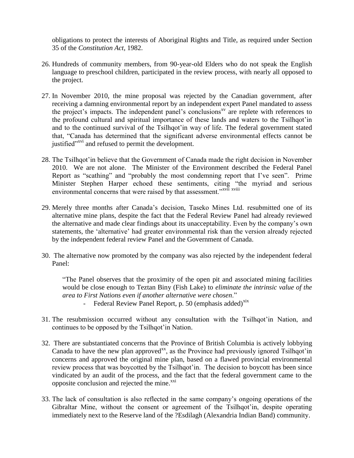obligations to protect the interests of Aboriginal Rights and Title, as required under Section 35 of the *Constitution Act*, 1982.

- 26. Hundreds of community members, from 90-year-old Elders who do not speak the English language to preschool children, participated in the review process, with nearly all opposed to the project.
- 27. In November 2010, the mine proposal was rejected by the Canadian government, after receiving a damning environmental report by an independent expert Panel mandated to assess the project's impacts. The independent panel's conclusions<sup>xy</sup> are replete with references to the profound cultural and spiritual importance of these lands and waters to the Tsilhqot'in and to the continued survival of the Tsilhqot'in way of life. The federal government stated that, "Canada has determined that the significant adverse environmental effects cannot be justified"<sup>xvi</sup> and refused to permit the development.
- 28. The Tsilhqot'in believe that the Government of Canada made the right decision in November 2010. We are not alone. The Minister of the Environment described the Federal Panel Report as "scathing" and "probably the most condemning report that I've seen". Prime Minister Stephen Harper echoed these sentiments, citing "the myriad and serious environmental concerns that were raised by that assessment." XVII XVIII
- 29. Merely three months after Canada's decision, Taseko Mines Ltd. resubmitted one of its alternative mine plans, despite the fact that the Federal Review Panel had already reviewed the alternative and made clear findings about its unacceptability. Even by the company's own statements, the 'alternative' had greater environmental risk than the version already rejected by the independent federal review Panel and the Government of Canada.
- 30. The alternative now promoted by the company was also rejected by the independent federal Panel:

"The Panel observes that the proximity of the open pit and associated mining facilities would be close enough to Teztan Biny (Fish Lake) to *eliminate the intrinsic value of the area to First Nations even if another alternative were chosen*."

- Federal Review Panel Report, p. 50 (emphasis added) $x$ ix
- 31. The resubmission occurred without any consultation with the Tsilhqot'in Nation, and continues to be opposed by the Tsilhqot'in Nation.
- 32. There are substantiated concerns that the Province of British Columbia is actively lobbying Canada to have the new plan approved $^{xx}$ , as the Province had previously ignored Tsilhqot'in concerns and approved the original mine plan, based on a flawed provincial environmental review process that was boycotted by the Tsilhqot'in. The decision to boycott has been since vindicated by an audit of the process, and the fact that the federal government came to the opposite conclusion and rejected the mine.<sup>xxi</sup>
- 33. The lack of consultation is also reflected in the same company's ongoing operations of the Gibraltar Mine, without the consent or agreement of the Tsilhqot'in, despite operating immediately next to the Reserve land of the ?Esdilagh (Alexandria Indian Band) community.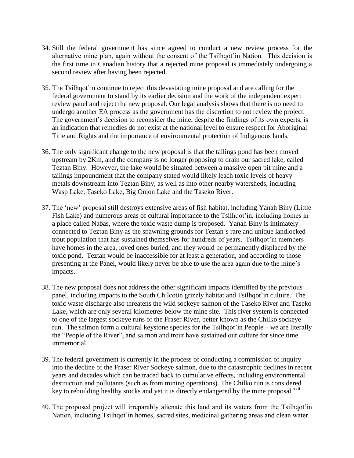- 34. Still the federal government has since agreed to conduct a new review process for the alternative mine plan, again without the consent of the Tsilhqot'in Nation. This decision is the first time in Canadian history that a rejected mine proposal is immediately undergoing a second review after having been rejected.
- 35. The Tsilhqot'in continue to reject this devastating mine proposal and are calling for the federal government to stand by its earlier decision and the work of the independent expert review panel and reject the new proposal. Our legal analysis shows that there is no need to undergo another EA process as the government has the discretion to not review the project. The government's decision to reconsider the mine, despite the findings of its own experts, is an indication that remedies do not exist at the national level to ensure respect for Aboriginal Title and Rights and the importance of environmental protection of Indigenous lands.
- 36. The only significant change to the new proposal is that the tailings pond has been moved upstream by 2Km, and the company is no longer proposing to drain our sacred lake, called Teztan Biny. However, the lake would be situated between a massive open pit mine and a tailings impoundment that the company stated would likely leach toxic levels of heavy metals downstream into Teztan Biny, as well as into other nearby watersheds, including Wasp Lake, Taseko Lake, Big Onion Lake and the Taseko River.
- 37. The 'new' proposal still destroys extensive areas of fish habitat, including Yanah Biny (Little Fish Lake) and numerous areas of cultural importance to the Tsilhqot'in, including homes in a place called Nabas, where the toxic waste dump is proposed. Yanah Biny is intimately connected to Teztan Biny as the spawning grounds for Teztan`s rare and unique landlocked trout population that has sustained themselves for hundreds of years. Tsilhqot'in members have homes in the area, loved ones buried, and they would be permanently displaced by the toxic pond. Teztan would be inaccessible for at least a generation, and according to those presenting at the Panel, would likely never be able to use the area again due to the mine's impacts.
- 38. The new proposal does not address the other significant impacts identified by the previous panel, including impacts to the South Chilcotin grizzly habitat and Tsilhqot`in culture. The toxic waste discharge also threatens the wild sockeye salmon of the Taseko River and Taseko Lake, which are only several kilometres below the mine site. This river system is connected to one of the largest sockeye runs of the Fraser River, better known as the Chilko sockeye run. The salmon form a cultural keystone species for the Tsilhqot'in People – we are literally the "People of the River", and salmon and trout have sustained our culture for since time immemorial.
- 39. The federal government is currently in the process of conducting a commission of inquiry into the decline of the Fraser River Sockeye salmon, due to the catastrophic declines in recent years and decades which can be traced back to cumulative effects, including environmental destruction and pollutants (such as from mining operations). The Chilko run is considered key to rebuilding healthy stocks and yet it is directly endangered by the mine proposal.<sup>xxii</sup>
- 40. The proposed project will irreparably alienate this land and its waters from the Tsilhqot'in Nation, including Tsilhqot'in homes, sacred sites, medicinal gathering areas and clean water.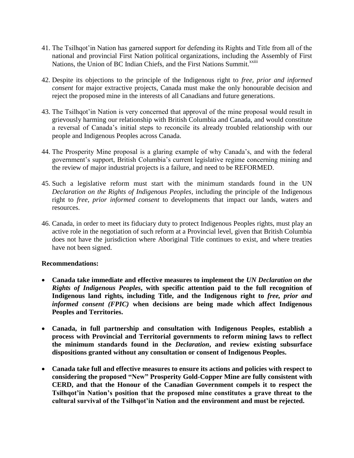- 41. The Tsilhqot'in Nation has garnered support for defending its Rights and Title from all of the national and provincial First Nation political organizations, including the Assembly of First Nations, the Union of BC Indian Chiefs, and the First Nations Summit.<sup>xxiii</sup>
- 42. Despite its objections to the principle of the Indigenous right to *free, prior and informed consent* for major extractive projects, Canada must make the only honourable decision and reject the proposed mine in the interests of all Canadians and future generations.
- 43. The Tsilhqot'in Nation is very concerned that approval of the mine proposal would result in grievously harming our relationship with British Columbia and Canada, and would constitute a reversal of Canada's initial steps to reconcile its already troubled relationship with our people and Indigenous Peoples across Canada.
- 44. The Prosperity Mine proposal is a glaring example of why Canada's, and with the federal government's support, British Columbia's current legislative regime concerning mining and the review of major industrial projects is a failure, and need to be REFORMED.
- 45. Such a legislative reform must start with the minimum standards found in the UN *Declaration on the Rights of Indigenous Peoples*, including the principle of the Indigenous right to *free, prior informed consent* to developments that impact our lands, waters and resources.
- 46. Canada, in order to meet its fiduciary duty to protect Indigenous Peoples rights, must play an active role in the negotiation of such reform at a Provincial level, given that British Columbia does not have the jurisdiction where Aboriginal Title continues to exist, and where treaties have not been signed.

#### **Recommendations:**

- **Canada take immediate and effective measures to implement the** *UN Declaration on the Rights of Indigenous Peoples***, with specific attention paid to the full recognition of Indigenous land rights, including Title, and the Indigenous right to** *free, prior and informed consent (FPIC)* **when decisions are being made which affect Indigenous Peoples and Territories.**
- **Canada, in full partnership and consultation with Indigenous Peoples, establish a process with Provincial and Territorial governments to reform mining laws to reflect the minimum standards found in the** *Declaration***, and review existing subsurface dispositions granted without any consultation or consent of Indigenous Peoples.**
- **Canada take full and effective measures to ensure its actions and policies with respect to considering the proposed "New" Prosperity Gold-Copper Mine are fully consistent with CERD, and that the Honour of the Canadian Government compels it to respect the Tsilhqot'in Nation's position that the proposed mine constitutes a grave threat to the cultural survival of the Tsilhqot'in Nation and the environment and must be rejected.**